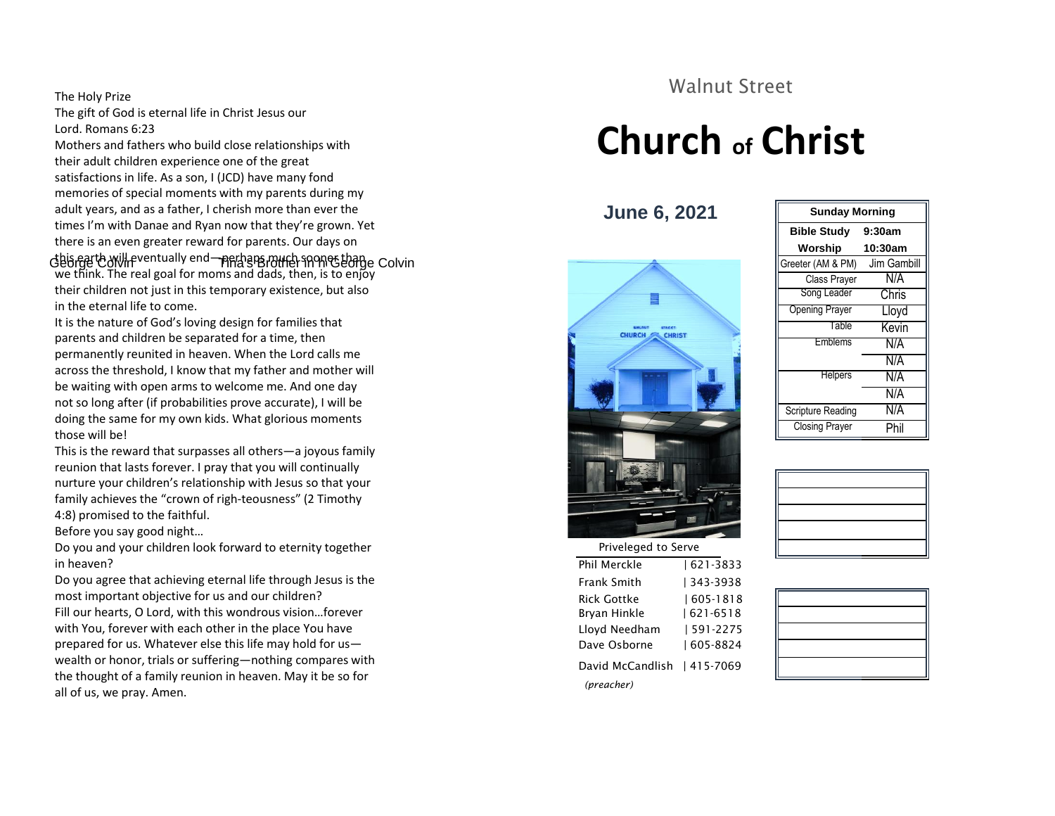#### The Holy Prize

The gift of God is eternal life in Christ Jesus our Lord. Romans 6:23

George Colvin Processes Colvin Tim Gambill Greeter (AM & PM) Jim Gambill Greeter (AM & PM) Jim Gambill Mothers and fathers who build close relationships with their adult children experience one of the great satisfactions in life. As a son, I (JCD) have many fond memories of special moments with my parents during my adult years, and as a father, I cherish more than ever the times I'm with Danae and Ryan now that they're grown. Yet there is an even greater reward for parents. Our days on

we think. The real goal for moms and dads, then, is to enjoy their children not just in this temporary existence, but also in the eternal life to come.

It is the nature of God's loving design for families that parents and children be separated for a time, then permanently reunited in heaven. When the Lord calls me across the threshold, I know that my father and mother will be waiting with open arms to welcome me. And one day not so long after (if probabilities prove accurate), I will be doing the same for my own kids. What glorious moments those will be!

This is the reward that surpasses all others—a joyous family reunion that lasts forever. I pray that you will continually nurture your children's relationship with Jesus so that your family achieves the "crown of righ-teousness" (2 Timothy 4:8) promised to the faithful.

Before you say good night…

Do you and your children look forward to eternity together in heaven?

Do you agree that achieving eternal life through Jesus is the most important objective for us and our children? Fill our hearts, O Lord, with this wondrous vision…forever with You, forever with each other in the place You have prepared for us. Whatever else this life may hold for us wealth or honor, trials or suffering—nothing compares with the thought of a family reunion in heaven. May it be so for all of us, we pray. Amen.

### Walnut Street

## **Church of Christ**

**June 6, 2021**



#### **Bible Study 9:30am Worship 10:30am** Song Leader Chris Opening Prayer Lloyd Table Kevin Emblems N/A N/A Helpers N/A N/A Scripture Reading N/A Closing Prayer Phil **Sunday Morning**

| <b>THE CITY CONTROL</b> |               |  |
|-------------------------|---------------|--|
| Phil Merckle            | 621-3833      |  |
| Frank Smith             | 343-3938      |  |
| Rick Gottke             | $ 605 - 1818$ |  |
| Bryan Hinkle            | 621-6518      |  |
| Lloyd Needham           | 591-2275      |  |
| Dave Osborne            | 605-8824      |  |
| David McCandlish        | 415-7069      |  |
| (preacher)              |               |  |
|                         |               |  |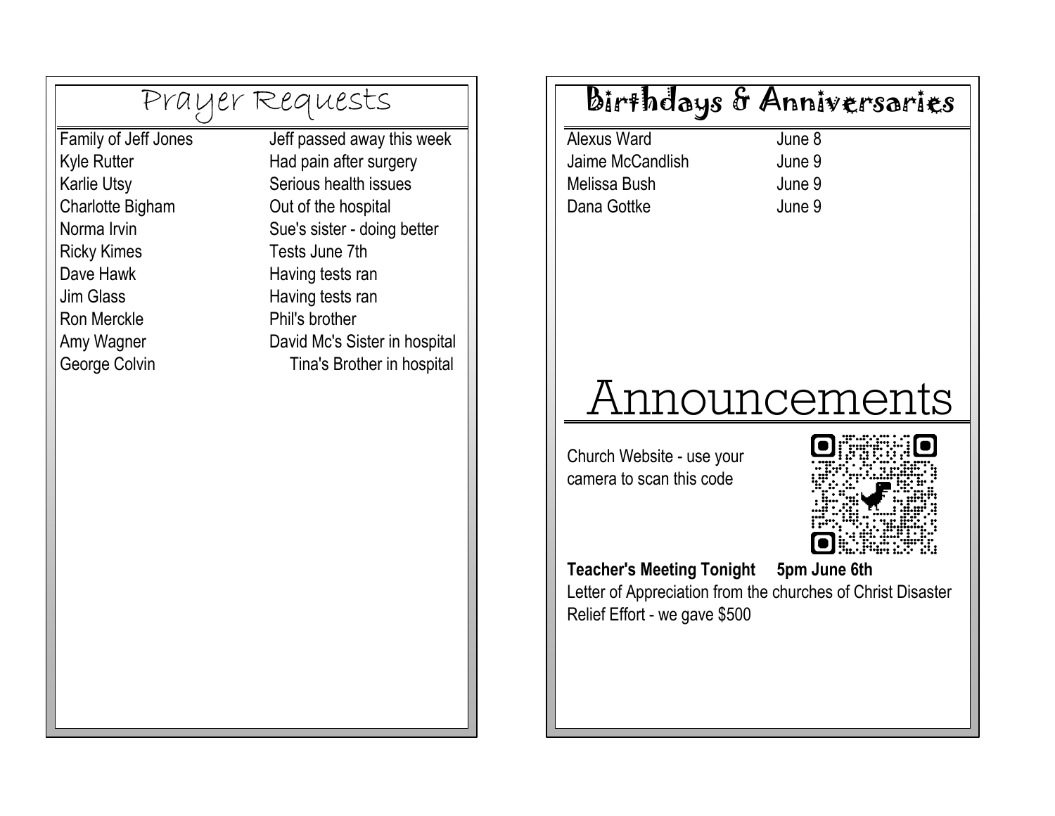|                      | Prayer Requests               |
|----------------------|-------------------------------|
| Family of Jeff Jones | Jeff passed away this week    |
| <b>Kyle Rutter</b>   | Had pain after surgery        |
| <b>Karlie Utsy</b>   | Serious health issues         |
| Charlotte Bigham     | Out of the hospital           |
| Norma Irvin          | Sue's sister - doing better   |
| <b>Ricky Kimes</b>   | Tests June 7th                |
| Dave Hawk            | Having tests ran              |
| Jim Glass            | Having tests ran              |
| <b>Ron Merckle</b>   | Phil's brother                |
| Amy Wagner           | David Mc's Sister in hospital |
| George Colvin        | Tina's Brother in hospital    |

## Birthdays & Anniversaries

Alexus Ward Jaime McCandlish Dana Gottke June 9 Melissa Bush June 9

June 8 June 9

# Announcements

camera to scan this code Church Website - use your



**Teacher's Meeting Tonight** 

**5pm June 6th** 

Letter of Appreciation from the churches of Christ Disaster Relief Effort - we gave \$500